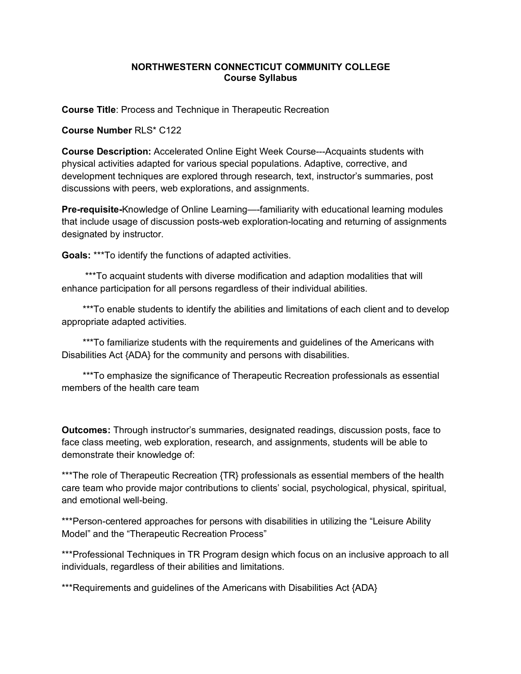## **NORTHWESTERN CONNECTICUT COMMUNITY COLLEGE Course Syllabus**

**Course Title**: Process and Technique in Therapeutic Recreation

**Course Number** RLS\* C122

**Course Description:** Accelerated Online Eight Week Course---Acquaints students with physical activities adapted for various special populations. Adaptive, corrective, and development techniques are explored through research, text, instructor's summaries, post discussions with peers, web explorations, and assignments.

**Pre-requisite-**Knowledge of Online Learning—-familiarity with educational learning modules that include usage of discussion posts-web exploration-locating and returning of assignments designated by instructor.

**Goals:** \*\*\*To identify the functions of adapted activities.

 \*\*\*To acquaint students with diverse modification and adaption modalities that will enhance participation for all persons regardless of their individual abilities.

\*\*\*To enable students to identify the abilities and limitations of each client and to develop appropriate adapted activities.

 \*\*\*To familiarize students with the requirements and guidelines of the Americans with Disabilities Act {ADA} for the community and persons with disabilities.

 \*\*\*To emphasize the significance of Therapeutic Recreation professionals as essential members of the health care team

**Outcomes:** Through instructor's summaries, designated readings, discussion posts, face to face class meeting, web exploration, research, and assignments, students will be able to demonstrate their knowledge of:

\*\*\*The role of Therapeutic Recreation {TR} professionals as essential members of the health care team who provide major contributions to clients' social, psychological, physical, spiritual, and emotional well-being.

\*\*\*Person-centered approaches for persons with disabilities in utilizing the "Leisure Ability" Model" and the "Therapeutic Recreation Process"

\*\*\*Professional Techniques in TR Program design which focus on an inclusive approach to all individuals, regardless of their abilities and limitations.

\*\*\*Requirements and guidelines of the Americans with Disabilities Act {ADA}